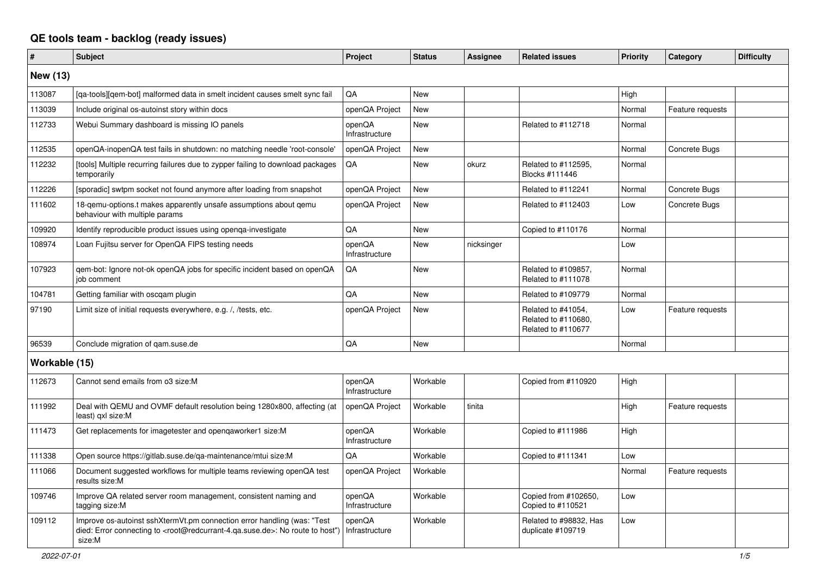## **QE tools team - backlog (ready issues)**

| #               | <b>Subject</b>                                                                                                                                                                                    | Project                  | <b>Status</b> | <b>Assignee</b> | <b>Related issues</b>                                           | Priority | Category         | <b>Difficulty</b> |
|-----------------|---------------------------------------------------------------------------------------------------------------------------------------------------------------------------------------------------|--------------------------|---------------|-----------------|-----------------------------------------------------------------|----------|------------------|-------------------|
| <b>New (13)</b> |                                                                                                                                                                                                   |                          |               |                 |                                                                 |          |                  |                   |
| 113087          | [ga-tools][gem-bot] malformed data in smelt incident causes smelt sync fail                                                                                                                       | QA                       | <b>New</b>    |                 |                                                                 | High     |                  |                   |
| 113039          | Include original os-autoinst story within docs                                                                                                                                                    | openQA Project           | <b>New</b>    |                 |                                                                 | Normal   | Feature requests |                   |
| 112733          | Webui Summary dashboard is missing IO panels                                                                                                                                                      | openQA<br>Infrastructure | <b>New</b>    |                 | Related to #112718                                              | Normal   |                  |                   |
| 112535          | openQA-inopenQA test fails in shutdown: no matching needle 'root-console'                                                                                                                         | openQA Project           | <b>New</b>    |                 |                                                                 | Normal   | Concrete Bugs    |                   |
| 112232          | [tools] Multiple recurring failures due to zypper failing to download packages<br>temporarily                                                                                                     | QA                       | <b>New</b>    | okurz           | Related to #112595,<br>Blocks #111446                           | Normal   |                  |                   |
| 112226          | [sporadic] swtpm socket not found anymore after loading from snapshot                                                                                                                             | openQA Project           | <b>New</b>    |                 | Related to #112241                                              | Normal   | Concrete Bugs    |                   |
| 111602          | 18-gemu-options.t makes apparently unsafe assumptions about gemu<br>behaviour with multiple params                                                                                                | openQA Project           | <b>New</b>    |                 | Related to #112403                                              | Low      | Concrete Bugs    |                   |
| 109920          | Identify reproducible product issues using openga-investigate                                                                                                                                     | QA                       | <b>New</b>    |                 | Copied to #110176                                               | Normal   |                  |                   |
| 108974          | Loan Fujitsu server for OpenQA FIPS testing needs                                                                                                                                                 | openQA<br>Infrastructure | <b>New</b>    | nicksinger      |                                                                 | Low      |                  |                   |
| 107923          | gem-bot: Ignore not-ok openQA jobs for specific incident based on openQA<br>job comment                                                                                                           | QA                       | <b>New</b>    |                 | Related to #109857.<br>Related to #111078                       | Normal   |                  |                   |
| 104781          | Getting familiar with oscgam plugin                                                                                                                                                               | QA                       | <b>New</b>    |                 | Related to #109779                                              | Normal   |                  |                   |
| 97190           | Limit size of initial requests everywhere, e.g. /, /tests, etc.                                                                                                                                   | openQA Project           | <b>New</b>    |                 | Related to #41054,<br>Related to #110680,<br>Related to #110677 | Low      | Feature requests |                   |
| 96539           | Conclude migration of gam.suse.de                                                                                                                                                                 | QA                       | <b>New</b>    |                 |                                                                 | Normal   |                  |                   |
| Workable (15)   |                                                                                                                                                                                                   |                          |               |                 |                                                                 |          |                  |                   |
| 112673          | Cannot send emails from o3 size:M                                                                                                                                                                 | openQA<br>Infrastructure | Workable      |                 | Copied from #110920                                             | High     |                  |                   |
| 111992          | Deal with QEMU and OVMF default resolution being 1280x800, affecting (at<br>least) gxl size:M                                                                                                     | openQA Project           | Workable      | tinita          |                                                                 | High     | Feature requests |                   |
| 111473          | Get replacements for imagetester and openqaworker1 size:M                                                                                                                                         | openQA<br>Infrastructure | Workable      |                 | Copied to #111986                                               | High     |                  |                   |
| 111338          | Open source https://gitlab.suse.de/ga-maintenance/mtui size:M                                                                                                                                     | QA                       | Workable      |                 | Copied to #111341                                               | Low      |                  |                   |
| 111066          | Document suggested workflows for multiple teams reviewing openQA test<br>results size:M                                                                                                           | openQA Project           | Workable      |                 |                                                                 | Normal   | Feature requests |                   |
| 109746          | Improve QA related server room management, consistent naming and<br>tagging size:M                                                                                                                | openQA<br>Infrastructure | Workable      |                 | Copied from #102650,<br>Copied to #110521                       | Low      |                  |                   |
| 109112          | Improve os-autoinst sshXtermVt.pm connection error handling (was: "Test<br>died: Error connecting to <root@redcurrant-4.qa.suse.de>: No route to host")<br/>size:M</root@redcurrant-4.qa.suse.de> | openQA<br>Infrastructure | Workable      |                 | Related to #98832, Has<br>duplicate #109719                     | Low      |                  |                   |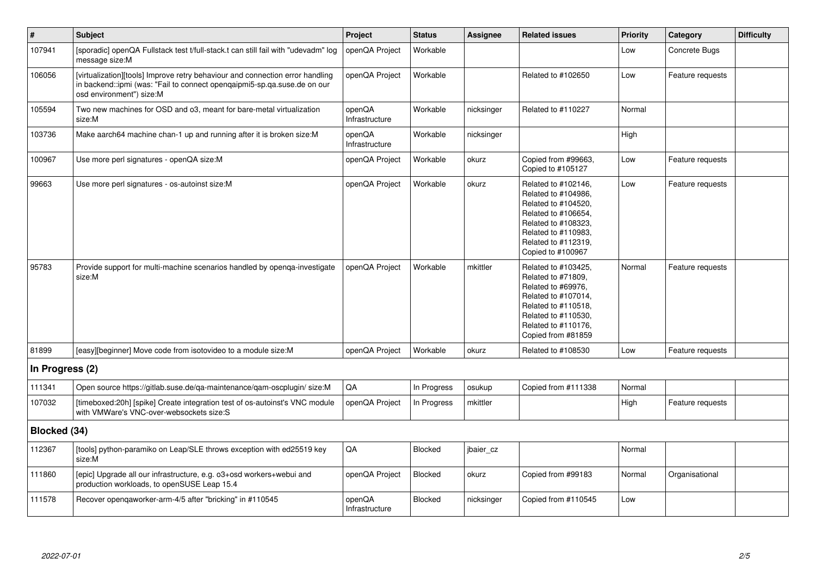| $\vert$ #       | Subject                                                                                                                                                                               | Project                  | <b>Status</b> | Assignee   | <b>Related issues</b>                                                                                                                                                              | <b>Priority</b> | Category         | <b>Difficulty</b> |
|-----------------|---------------------------------------------------------------------------------------------------------------------------------------------------------------------------------------|--------------------------|---------------|------------|------------------------------------------------------------------------------------------------------------------------------------------------------------------------------------|-----------------|------------------|-------------------|
| 107941          | [sporadic] openQA Fullstack test t/full-stack.t can still fail with "udevadm" log<br>message size:M                                                                                   | openQA Project           | Workable      |            |                                                                                                                                                                                    | Low             | Concrete Bugs    |                   |
| 106056          | [virtualization][tools] Improve retry behaviour and connection error handling<br>in backend::ipmi (was: "Fail to connect opengaipmi5-sp.ga.suse.de on our<br>osd environment") size:M | openQA Project           | Workable      |            | Related to #102650                                                                                                                                                                 | Low             | Feature requests |                   |
| 105594          | Two new machines for OSD and o3, meant for bare-metal virtualization<br>size:M                                                                                                        | openQA<br>Infrastructure | Workable      | nicksinger | Related to #110227                                                                                                                                                                 | Normal          |                  |                   |
| 103736          | Make aarch64 machine chan-1 up and running after it is broken size: M                                                                                                                 | openQA<br>Infrastructure | Workable      | nicksinger |                                                                                                                                                                                    | High            |                  |                   |
| 100967          | Use more perl signatures - openQA size:M                                                                                                                                              | openQA Project           | Workable      | okurz      | Copied from #99663,<br>Copied to #105127                                                                                                                                           | Low             | Feature requests |                   |
| 99663           | Use more perl signatures - os-autoinst size:M                                                                                                                                         | openQA Project           | Workable      | okurz      | Related to #102146,<br>Related to #104986,<br>Related to #104520,<br>Related to #106654,<br>Related to #108323,<br>Related to #110983.<br>Related to #112319,<br>Copied to #100967 | Low             | Feature requests |                   |
| 95783           | Provide support for multi-machine scenarios handled by openga-investigate<br>size:M                                                                                                   | openQA Project           | Workable      | mkittler   | Related to #103425,<br>Related to #71809,<br>Related to #69976.<br>Related to #107014,<br>Related to #110518,<br>Related to #110530,<br>Related to #110176,<br>Copied from #81859  | Normal          | Feature requests |                   |
| 81899           | [easy][beginner] Move code from isotovideo to a module size:M                                                                                                                         | openQA Project           | Workable      | okurz      | Related to #108530                                                                                                                                                                 | Low             | Feature requests |                   |
| In Progress (2) |                                                                                                                                                                                       |                          |               |            |                                                                                                                                                                                    |                 |                  |                   |
| 111341          | Open source https://gitlab.suse.de/qa-maintenance/qam-oscplugin/ size:M                                                                                                               | QA                       | In Progress   | osukup     | Copied from #111338                                                                                                                                                                | Normal          |                  |                   |
| 107032          | [timeboxed:20h] [spike] Create integration test of os-autoinst's VNC module<br>with VMWare's VNC-over-websockets size:S                                                               | openQA Project           | In Progress   | mkittler   |                                                                                                                                                                                    | High            | Feature requests |                   |
| Blocked (34)    |                                                                                                                                                                                       |                          |               |            |                                                                                                                                                                                    |                 |                  |                   |
| 112367          | [tools] python-paramiko on Leap/SLE throws exception with ed25519 key<br>size:M                                                                                                       | QA                       | Blocked       | jbaier cz  |                                                                                                                                                                                    | Normal          |                  |                   |
| 111860          | [epic] Upgrade all our infrastructure, e.g. o3+osd workers+webui and<br>production workloads, to openSUSE Leap 15.4                                                                   | openQA Project           | Blocked       | okurz      | Copied from #99183                                                                                                                                                                 | Normal          | Organisational   |                   |
| 111578          | Recover opengaworker-arm-4/5 after "bricking" in #110545                                                                                                                              | openQA<br>Infrastructure | Blocked       | nicksinger | Copied from #110545                                                                                                                                                                | Low             |                  |                   |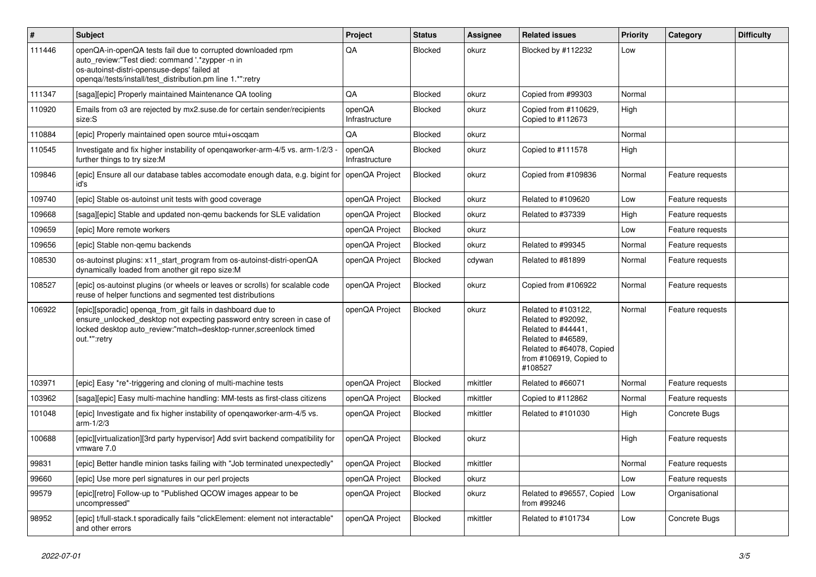| $\vert$ # | <b>Subject</b>                                                                                                                                                                                                              | Project                  | <b>Status</b>  | <b>Assignee</b> | <b>Related issues</b>                                                                                                                                    | <b>Priority</b> | Category         | <b>Difficulty</b> |
|-----------|-----------------------------------------------------------------------------------------------------------------------------------------------------------------------------------------------------------------------------|--------------------------|----------------|-----------------|----------------------------------------------------------------------------------------------------------------------------------------------------------|-----------------|------------------|-------------------|
| 111446    | openQA-in-openQA tests fail due to corrupted downloaded rpm<br>auto_review:"Test died: command '.*zypper -n in<br>os-autoinst-distri-opensuse-deps' failed at<br>openqa//tests/install/test_distribution.pm line 1.*":retry | QA                       | <b>Blocked</b> | okurz           | Blocked by #112232                                                                                                                                       | Low             |                  |                   |
| 111347    | [saga][epic] Properly maintained Maintenance QA tooling                                                                                                                                                                     | QA                       | <b>Blocked</b> | okurz           | Copied from #99303                                                                                                                                       | Normal          |                  |                   |
| 110920    | Emails from o3 are rejected by mx2.suse.de for certain sender/recipients<br>size:S                                                                                                                                          | openQA<br>Infrastructure | <b>Blocked</b> | okurz           | Copied from #110629,<br>Copied to #112673                                                                                                                | High            |                  |                   |
| 110884    | [epic] Properly maintained open source mtui+oscqam                                                                                                                                                                          | QA                       | Blocked        | okurz           |                                                                                                                                                          | Normal          |                  |                   |
| 110545    | Investigate and fix higher instability of opengaworker-arm-4/5 vs. arm-1/2/3<br>further things to try size:M                                                                                                                | openQA<br>Infrastructure | <b>Blocked</b> | okurz           | Copied to #111578                                                                                                                                        | High            |                  |                   |
| 109846    | [epic] Ensure all our database tables accomodate enough data, e.g. bigint for<br>id's                                                                                                                                       | openQA Project           | Blocked        | okurz           | Copied from #109836                                                                                                                                      | Normal          | Feature requests |                   |
| 109740    | [epic] Stable os-autoinst unit tests with good coverage                                                                                                                                                                     | openQA Project           | Blocked        | okurz           | Related to #109620                                                                                                                                       | Low             | Feature requests |                   |
| 109668    | [saga][epic] Stable and updated non-gemu backends for SLE validation                                                                                                                                                        | openQA Project           | Blocked        | okurz           | Related to #37339                                                                                                                                        | High            | Feature requests |                   |
| 109659    | [epic] More remote workers                                                                                                                                                                                                  | openQA Project           | Blocked        | okurz           |                                                                                                                                                          | Low             | Feature requests |                   |
| 109656    | [epic] Stable non-gemu backends                                                                                                                                                                                             | openQA Project           | Blocked        | okurz           | Related to #99345                                                                                                                                        | Normal          | Feature requests |                   |
| 108530    | os-autoinst plugins: x11_start_program from os-autoinst-distri-openQA<br>dynamically loaded from another git repo size:M                                                                                                    | openQA Project           | Blocked        | cdywan          | Related to #81899                                                                                                                                        | Normal          | Feature requests |                   |
| 108527    | [epic] os-autoinst plugins (or wheels or leaves or scrolls) for scalable code<br>reuse of helper functions and segmented test distributions                                                                                 | openQA Project           | Blocked        | okurz           | Copied from #106922                                                                                                                                      | Normal          | Feature requests |                   |
| 106922    | [epic][sporadic] openqa_from_git fails in dashboard due to<br>ensure_unlocked_desktop not expecting password entry screen in case of<br>locked desktop auto_review:"match=desktop-runner,screenlock timed<br>out.*":retry   | openQA Project           | Blocked        | okurz           | Related to #103122,<br>Related to #92092,<br>Related to #44441,<br>Related to #46589.<br>Related to #64078, Copied<br>from #106919, Copied to<br>#108527 | Normal          | Feature requests |                   |
| 103971    | [epic] Easy *re*-triggering and cloning of multi-machine tests                                                                                                                                                              | openQA Project           | Blocked        | mkittler        | Related to #66071                                                                                                                                        | Normal          | Feature requests |                   |
| 103962    | [saga][epic] Easy multi-machine handling: MM-tests as first-class citizens                                                                                                                                                  | openQA Project           | Blocked        | mkittler        | Copied to #112862                                                                                                                                        | Normal          | Feature requests |                   |
| 101048    | [epic] Investigate and fix higher instability of openqaworker-arm-4/5 vs.<br>$arm-1/2/3$                                                                                                                                    | openQA Project           | Blocked        | mkittler        | Related to #101030                                                                                                                                       | High            | Concrete Bugs    |                   |
| 100688    | [epic][virtualization][3rd party hypervisor] Add svirt backend compatibility for<br>vmware 7.0                                                                                                                              | openQA Project           | Blocked        | okurz           |                                                                                                                                                          | High            | Feature requests |                   |
| 99831     | [epic] Better handle minion tasks failing with "Job terminated unexpectedly"                                                                                                                                                | openQA Project           | Blocked        | mkittler        |                                                                                                                                                          | Normal          | Feature requests |                   |
| 99660     | [epic] Use more perl signatures in our perl projects                                                                                                                                                                        | openQA Project           | Blocked        | okurz           |                                                                                                                                                          | Low             | Feature requests |                   |
| 99579     | [epic][retro] Follow-up to "Published QCOW images appear to be<br>uncompressed"                                                                                                                                             | openQA Project           | Blocked        | okurz           | Related to #96557, Copied<br>from #99246                                                                                                                 | Low             | Organisational   |                   |
| 98952     | [epic] t/full-stack.t sporadically fails "clickElement: element not interactable"<br>and other errors                                                                                                                       | openQA Project           | Blocked        | mkittler        | Related to #101734                                                                                                                                       | Low             | Concrete Bugs    |                   |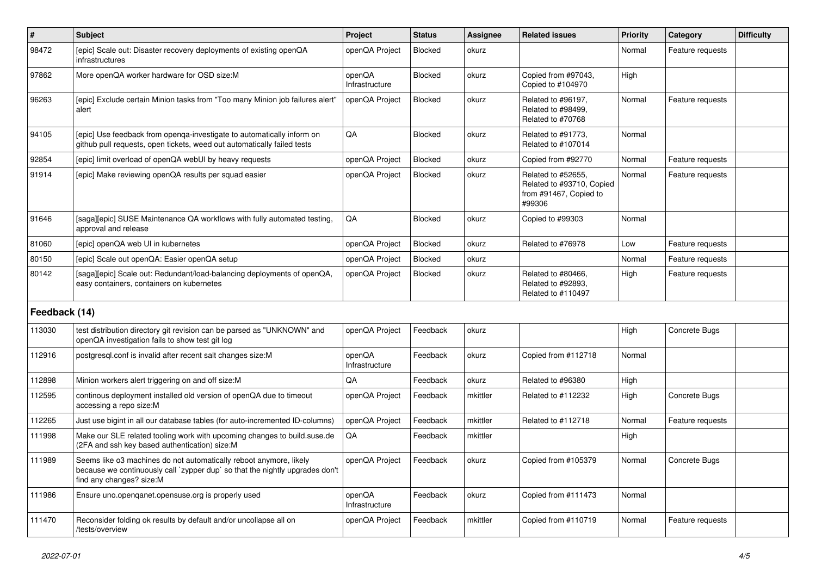| #             | Subject                                                                                                                                                                        | Project                  | <b>Status</b>  | <b>Assignee</b> | <b>Related issues</b>                                                               | Priority | Category         | <b>Difficulty</b> |
|---------------|--------------------------------------------------------------------------------------------------------------------------------------------------------------------------------|--------------------------|----------------|-----------------|-------------------------------------------------------------------------------------|----------|------------------|-------------------|
| 98472         | [epic] Scale out: Disaster recovery deployments of existing openQA<br>infrastructures                                                                                          | openQA Project           | <b>Blocked</b> | okurz           |                                                                                     | Normal   | Feature requests |                   |
| 97862         | More openQA worker hardware for OSD size:M                                                                                                                                     | openQA<br>Infrastructure | Blocked        | okurz           | Copied from #97043,<br>Copied to #104970                                            | High     |                  |                   |
| 96263         | [epic] Exclude certain Minion tasks from "Too many Minion job failures alert"<br>alert                                                                                         | openQA Project           | Blocked        | okurz           | Related to #96197,<br>Related to #98499,<br>Related to #70768                       | Normal   | Feature requests |                   |
| 94105         | [epic] Use feedback from openga-investigate to automatically inform on<br>github pull requests, open tickets, weed out automatically failed tests                              | QA                       | Blocked        | okurz           | Related to #91773,<br>Related to #107014                                            | Normal   |                  |                   |
| 92854         | [epic] limit overload of openQA webUI by heavy requests                                                                                                                        | openQA Project           | <b>Blocked</b> | okurz           | Copied from #92770                                                                  | Normal   | Feature requests |                   |
| 91914         | [epic] Make reviewing openQA results per squad easier                                                                                                                          | openQA Project           | Blocked        | okurz           | Related to #52655,<br>Related to #93710, Copied<br>from #91467, Copied to<br>#99306 | Normal   | Feature requests |                   |
| 91646         | [saga][epic] SUSE Maintenance QA workflows with fully automated testing,<br>approval and release                                                                               | QA                       | <b>Blocked</b> | okurz           | Copied to #99303                                                                    | Normal   |                  |                   |
| 81060         | [epic] openQA web UI in kubernetes                                                                                                                                             | openQA Project           | <b>Blocked</b> | okurz           | Related to #76978                                                                   | Low      | Feature requests |                   |
| 80150         | [epic] Scale out openQA: Easier openQA setup                                                                                                                                   | openQA Project           | Blocked        | okurz           |                                                                                     | Normal   | Feature requests |                   |
| 80142         | [saga][epic] Scale out: Redundant/load-balancing deployments of openQA,<br>easy containers, containers on kubernetes                                                           | openQA Project           | Blocked        | okurz           | Related to #80466,<br>Related to #92893,<br>Related to #110497                      | High     | Feature requests |                   |
| Feedback (14) |                                                                                                                                                                                |                          |                |                 |                                                                                     |          |                  |                   |
| 113030        | test distribution directory git revision can be parsed as "UNKNOWN" and<br>openQA investigation fails to show test git log                                                     | openQA Project           | Feedback       | okurz           |                                                                                     | High     | Concrete Bugs    |                   |
| 112916        | postgresql.conf is invalid after recent salt changes size:M                                                                                                                    | openQA<br>Infrastructure | Feedback       | okurz           | Copied from #112718                                                                 | Normal   |                  |                   |
| 112898        | Minion workers alert triggering on and off size:M                                                                                                                              | QA                       | Feedback       | okurz           | Related to #96380                                                                   | High     |                  |                   |
| 112595        | continous deployment installed old version of openQA due to timeout<br>accessing a repo size:M                                                                                 | openQA Project           | Feedback       | mkittler        | Related to #112232                                                                  | High     | Concrete Bugs    |                   |
| 112265        | Just use bigint in all our database tables (for auto-incremented ID-columns)                                                                                                   | openQA Project           | Feedback       | mkittler        | Related to #112718                                                                  | Normal   | Feature requests |                   |
| 111998        | Make our SLE related tooling work with upcoming changes to build.suse.de<br>(2FA and ssh key based authentication) size:M                                                      | QA                       | Feedback       | mkittler        |                                                                                     | High     |                  |                   |
| 111989        | Seems like o3 machines do not automatically reboot anymore, likely<br>because we continuously call `zypper dup` so that the nightly upgrades don't<br>find any changes? size:M | openQA Project           | Feedback       | okurz           | Copied from #105379                                                                 | Normal   | Concrete Bugs    |                   |
| 111986        | Ensure uno.openqanet.opensuse.org is properly used                                                                                                                             | openQA<br>Infrastructure | Feedback       | okurz           | Copied from #111473                                                                 | Normal   |                  |                   |
| 111470        | Reconsider folding ok results by default and/or uncollapse all on<br>/tests/overview                                                                                           | openQA Project           | Feedback       | mkittler        | Copied from #110719                                                                 | Normal   | Feature requests |                   |